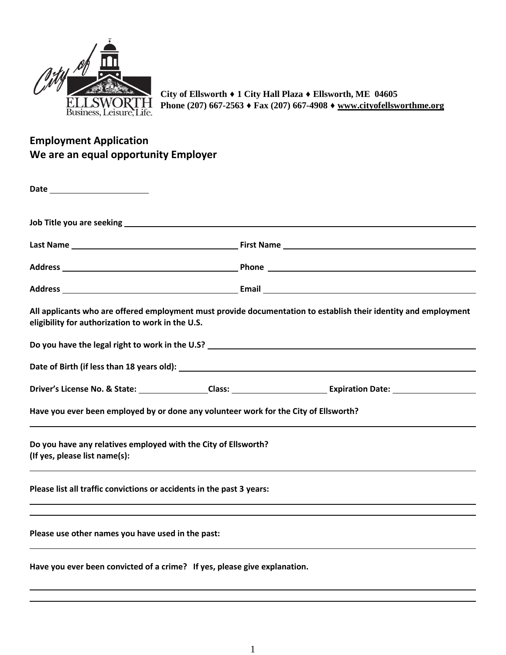

**City of Ellsworth ♦ 1 City Hall Plaza ♦ Ellsworth, ME 04605 Phone (207) 667-2563 ♦ Fax (207) 667-4908 ♦ [www.cityofellsworthme.org](http://www.cityofellsworthme.org/)**

## **Employment Application We are an equal opportunity Employer**

|                                                                                                 | Address Phone Phone Phone Phone Phone Phone Phone Phone Phone Phone Phone Phone Phone Phone Phone Phone Phone Phone Phone Phone Phone Phone Phone Phone Phone Phone Phone Phone Phone Phone Phone Phone Phone Phone Phone Phon |
|-------------------------------------------------------------------------------------------------|--------------------------------------------------------------------------------------------------------------------------------------------------------------------------------------------------------------------------------|
|                                                                                                 | Address <b>Email Email Email Email Email Email Email Email Email Email Email Email Email Email Email Email Email Email Email Email Email Email Email Email Email Email Email</b>                                               |
| eligibility for authorization to work in the U.S.                                               | All applicants who are offered employment must provide documentation to establish their identity and employment                                                                                                                |
| Do you have the legal right to work in the U.S? _________________________________               |                                                                                                                                                                                                                                |
|                                                                                                 |                                                                                                                                                                                                                                |
|                                                                                                 |                                                                                                                                                                                                                                |
| Have you ever been employed by or done any volunteer work for the City of Ellsworth?            |                                                                                                                                                                                                                                |
| Do you have any relatives employed with the City of Ellsworth?<br>(If yes, please list name(s): |                                                                                                                                                                                                                                |
| Please list all traffic convictions or accidents in the past 3 years:                           |                                                                                                                                                                                                                                |
| Please use other names you have used in the past:                                               |                                                                                                                                                                                                                                |
| Have you ever been convicted of a crime? If yes, please give explanation.                       |                                                                                                                                                                                                                                |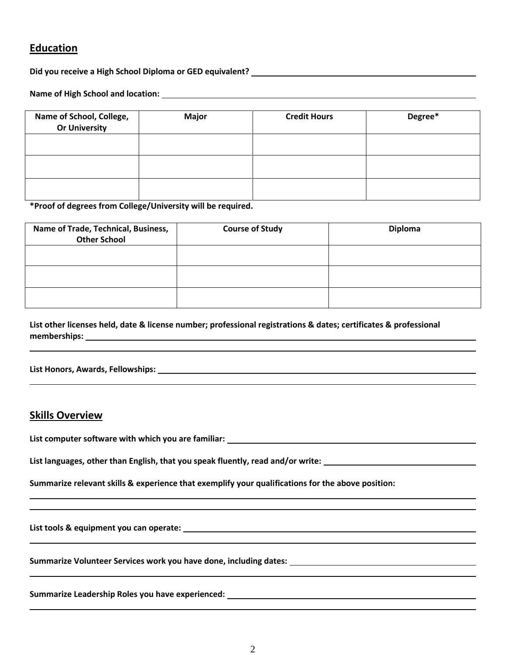### **Education**

**Did you receive a High School Diploma or GED equivalent?**

**Name of High School and location:**

| Name of School, College,<br><b>Or University</b> | <b>Major</b> | <b>Credit Hours</b> | Degree* |
|--------------------------------------------------|--------------|---------------------|---------|
|                                                  |              |                     |         |
|                                                  |              |                     |         |
|                                                  |              |                     |         |

**\*Proof of degrees from College/University will be required.**

| Name of Trade, Technical, Business,<br><b>Other School</b> | <b>Course of Study</b> | <b>Diploma</b> |
|------------------------------------------------------------|------------------------|----------------|
|                                                            |                        |                |
|                                                            |                        |                |
|                                                            |                        |                |

**List other licenses held, date & license number; professional registrations & dates; certificates & professional memberships:**

**List Honors, Awards, Fellowships:**

#### **Skills Overview**

**List computer software with which you are familiar:**

**List languages, other than English, that you speak fluently, read and/or write:**

**Summarize relevant skills & experience that exemplify your qualifications for the above position:**

**List tools & equipment you can operate:** 

**Summarize Volunteer Services work you have done, including dates:**

**Summarize Leadership Roles you have experienced:**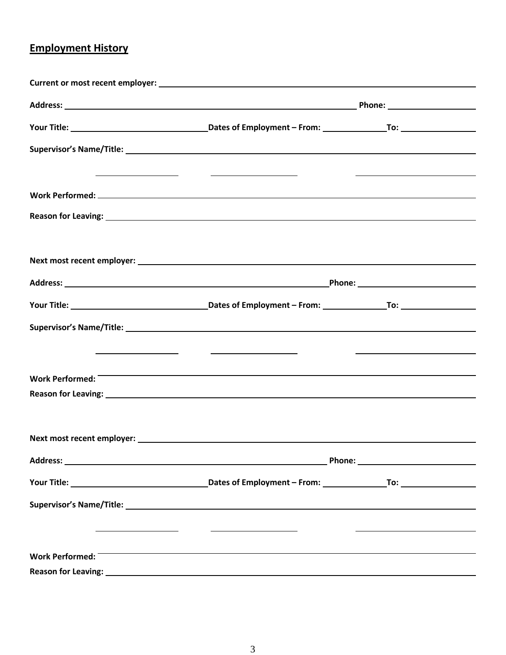# **Employment History**

|                 | <u> Alexandria de la contrada de la contrada de la contrada de la contrada de la contrada de la contrada de la c</u>   | the contract of the contract of the contract of the contract of the contract of                                        |  |
|-----------------|------------------------------------------------------------------------------------------------------------------------|------------------------------------------------------------------------------------------------------------------------|--|
|                 |                                                                                                                        |                                                                                                                        |  |
|                 |                                                                                                                        |                                                                                                                        |  |
|                 |                                                                                                                        |                                                                                                                        |  |
|                 |                                                                                                                        |                                                                                                                        |  |
|                 |                                                                                                                        |                                                                                                                        |  |
|                 |                                                                                                                        |                                                                                                                        |  |
|                 |                                                                                                                        |                                                                                                                        |  |
|                 | <u> 1989 - Andrea Station Barbara, actor a component de la componentación de la componentación de la componentació</u> | <u> 1980 - Johann Barn, mars ann an t-Amhain ann an t-Amhain an t-Amhain an t-Amhain an t-Amhain an t-Amhain an t-</u> |  |
| Work Performed: | the contract of the contract of the contract of the contract of the contract of the contract of the contract of        |                                                                                                                        |  |
|                 |                                                                                                                        |                                                                                                                        |  |
|                 |                                                                                                                        |                                                                                                                        |  |
|                 |                                                                                                                        |                                                                                                                        |  |
|                 |                                                                                                                        |                                                                                                                        |  |
|                 |                                                                                                                        |                                                                                                                        |  |
|                 |                                                                                                                        |                                                                                                                        |  |
|                 |                                                                                                                        |                                                                                                                        |  |
| Work Performed: |                                                                                                                        |                                                                                                                        |  |
|                 |                                                                                                                        |                                                                                                                        |  |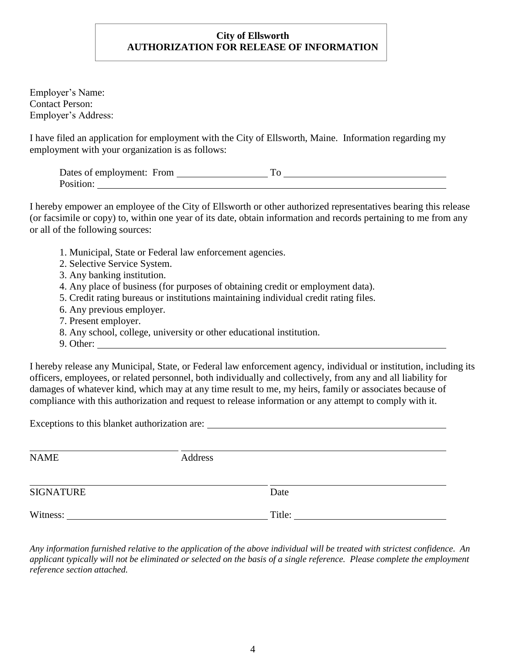#### **City of Ellsworth AUTHORIZATION FOR RELEASE OF INFORMATION**

Employer's Name: Contact Person: Employer's Address:

I have filed an application for employment with the City of Ellsworth, Maine. Information regarding my employment with your organization is as follows:

| Dates of employment: From |  |
|---------------------------|--|
| Position:                 |  |

I hereby empower an employee of the City of Ellsworth or other authorized representatives bearing this release (or facsimile or copy) to, within one year of its date, obtain information and records pertaining to me from any or all of the following sources:

- 1. Municipal, State or Federal law enforcement agencies.
- 2. Selective Service System.
- 3. Any banking institution.
- 4. Any place of business (for purposes of obtaining credit or employment data).
- 5. Credit rating bureaus or institutions maintaining individual credit rating files.
- 6. Any previous employer.
- 7. Present employer.
- 8. Any school, college, university or other educational institution.
- 9. Other:

I hereby release any Municipal, State, or Federal law enforcement agency, individual or institution, including its officers, employees, or related personnel, both individually and collectively, from any and all liability for damages of whatever kind, which may at any time result to me, my heirs, family or associates because of compliance with this authorization and request to release information or any attempt to comply with it.

Exceptions to this blanket authorization are:

| <b>NAME</b>      | Address |        |  |
|------------------|---------|--------|--|
| <b>SIGNATURE</b> |         | Date   |  |
| Witness:         |         | Title: |  |

*Any information furnished relative to the application of the above individual will be treated with strictest confidence. An applicant typically will not be eliminated or selected on the basis of a single reference. Please complete the employment reference section attached.*